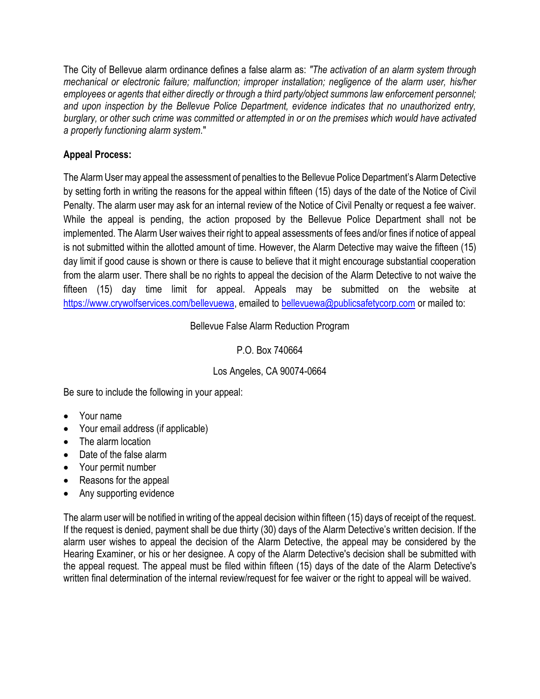The City of Bellevue alarm ordinance defines a false alarm as: *"The activation of an alarm system through mechanical or electronic failure; malfunction; improper installation; negligence of the alarm user, his/her employees or agents that either directly or through a third party/object summons law enforcement personnel; and upon inspection by the Bellevue Police Department, evidence indicates that no unauthorized entry, burglary, or other such crime was committed or attempted in or on the premises which would have activated a properly functioning alarm system.*"

# **Appeal Process:**

The Alarm User may appeal the assessment of penalties to the Bellevue Police Department's Alarm Detective by setting forth in writing the reasons for the appeal within fifteen (15) days of the date of the Notice of Civil Penalty. The alarm user may ask for an internal review of the Notice of Civil Penalty or request a fee waiver. While the appeal is pending, the action proposed by the Bellevue Police Department shall not be implemented. The Alarm User waives their right to appeal assessments of fees and/or fines if notice of appeal is not submitted within the allotted amount of time. However, the Alarm Detective may waive the fifteen (15) day limit if good cause is shown or there is cause to believe that it might encourage substantial cooperation from the alarm user. There shall be no rights to appeal the decision of the Alarm Detective to not waive the fifteen (15) day time limit for appeal. Appeals may be submitted on the website at https://www.crywolfservices.com/bellevuewa, emailed to [bellevuewa@publicsafetycorp.com](mailto:bellevuewa@publicsafetycorp.com) or mailed to:

## Bellevue False Alarm Reduction Program

## P.O. Box 740664

## Los Angeles, CA 90074-0664

Be sure to include the following in your appeal:

- Your name
- Your email address (if applicable)
- The alarm location
- Date of the false alarm
- Your permit number
- Reasons for the appeal
- Any supporting evidence

The alarm user will be notified in writing of the appeal decision within fifteen (15) days of receipt of the request. If the request is denied, payment shall be due thirty (30) days of the Alarm Detective's written decision. If the alarm user wishes to appeal the decision of the Alarm Detective, the appeal may be considered by the Hearing Examiner, or his or her designee. A copy of the Alarm Detective's decision shall be submitted with the appeal request. The appeal must be filed within fifteen (15) days of the date of the Alarm Detective's written final determination of the internal review/request for fee waiver or the right to appeal will be waived.